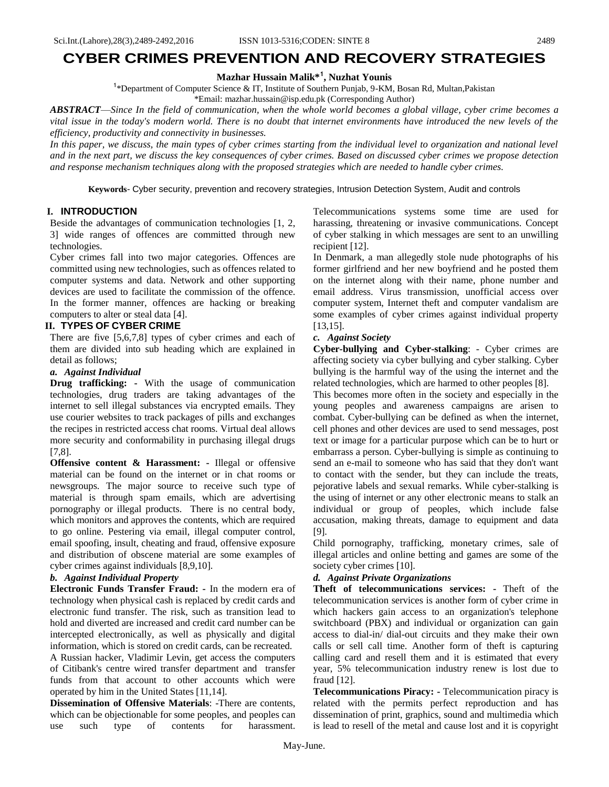# **CYBER CRIMES PREVENTION AND RECOVERY STRATEGIES**

# **Mazhar Hussain Malik\*<sup>1</sup> , Nuzhat Younis**

<sup>1</sup>\*Department of Computer Science & IT, Institute of Southern Punjab, 9-KM, Bosan Rd, Multan, Pakistan

\*Email: mazhar.hussain@isp.edu.pk (Corresponding Author)

*ABSTRACT*—*Since In the field of communication, when the whole world becomes a global village, cyber crime becomes a vital issue in the today's modern world. There is no doubt that internet environments have introduced the new levels of the efficiency, productivity and connectivity in businesses.* 

*In this paper, we discuss, the main types of cyber crimes starting from the individual level to organization and national level and in the next part, we discuss the key consequences of cyber crimes. Based on discussed cyber crimes we propose detection and response mechanism techniques along with the proposed strategies which are needed to handle cyber crimes.*

**Keywords***-* Cyber security, prevention and recovery strategies, Intrusion Detection System, Audit and controls

# **I. INTRODUCTION**

Beside the advantages of communication technologies [1, 2, 3] wide ranges of offences are committed through new technologies.

Cyber crimes fall into two major categories. Offences are committed using new technologies, such as offences related to computer systems and data. Network and other supporting devices are used to facilitate the commission of the offence. In the former manner, offences are hacking or breaking computers to alter or steal data [4].

#### **II. TYPES OF CYBER CRIME**

There are five [5,6,7,8] types of cyber crimes and each of them are divided into sub heading which are explained in detail as follows;

#### *a. Against Individual*

**Drug trafficking: -** With the usage of communication technologies, drug traders are taking advantages of the internet to sell illegal substances via encrypted emails. They use courier websites to track packages of pills and exchanges the recipes in restricted access chat rooms. Virtual deal allows more security and conformability in purchasing illegal drugs [7,8].

**Offensive content & Harassment:** - Illegal or offensive material can be found on the internet or in chat rooms or newsgroups. The major source to receive such type of material is through spam emails, which are advertising pornography or illegal products. There is no central body, which monitors and approves the contents, which are required to go online. Pestering via email, illegal computer control, email spoofing, insult, cheating and fraud, offensive exposure and distribution of obscene material are some examples of cyber crimes against individuals [8,9,10].

#### *b. Against Individual Property*

**Electronic Funds Transfer Fraud: -** In the modern era of technology when physical cash is replaced by credit cards and electronic fund transfer. The risk, such as transition lead to hold and diverted are increased and credit card number can be intercepted electronically, as well as physically and digital information, which is stored on credit cards, can be recreated.

A Russian hacker, Vladimir Levin, get access the computers of Citibank's centre wired transfer department and transfer funds from that account to other accounts which were operated by him in the United States [11,14].

**Dissemination of Offensive Materials**: -There are contents, which can be objectionable for some peoples, and peoples can use such type of contents for harassment. Telecommunications systems some time are used for harassing, threatening or invasive communications. Concept of cyber stalking in which messages are sent to an unwilling recipient [12].

In Denmark, a man allegedly stole nude photographs of his former girlfriend and her new boyfriend and he posted them on the internet along with their name, phone number and email address. Virus transmission, unofficial access over computer system, Internet theft and computer vandalism are some examples of cyber crimes against individual property [13,15].

#### *c. Against Society*

**Cyber-bullying and Cyber-stalking**: - Cyber crimes are affecting society via cyber bullying and cyber stalking. Cyber bullying is the harmful way of the using the internet and the related technologies, which are harmed to other peoples [8].

This becomes more often in the society and especially in the young peoples and awareness campaigns are arisen to combat. Cyber-bullying can be defined as when the internet, cell phones and other devices are used to send messages, post text or image for a particular purpose which can be to hurt or embarrass a person. Cyber-bullying is simple as continuing to send an e-mail to someone who has said that they don't want to contact with the sender, but they can include the treats, pejorative labels and sexual remarks. While cyber-stalking is the using of internet or any other electronic means to stalk an individual or group of peoples, which include false accusation, making threats, damage to equipment and data [9].

Child pornography, trafficking, monetary crimes, sale of illegal articles and online betting and games are some of the society cyber crimes [10].

#### *d. Against Private Organizations*

**Theft of telecommunications services: -** Theft of the telecommunication services is another form of cyber crime in which hackers gain access to an organization's telephone switchboard (PBX) and individual or organization can gain access to dial-in/ dial-out circuits and they make their own calls or sell call time. Another form of theft is capturing calling card and resell them and it is estimated that every year, 5% telecommunication industry renew is lost due to fraud [12].

**Telecommunications Piracy: -** Telecommunication piracy is related with the permits perfect reproduction and has dissemination of print, graphics, sound and multimedia which is lead to resell of the metal and cause lost and it is copyright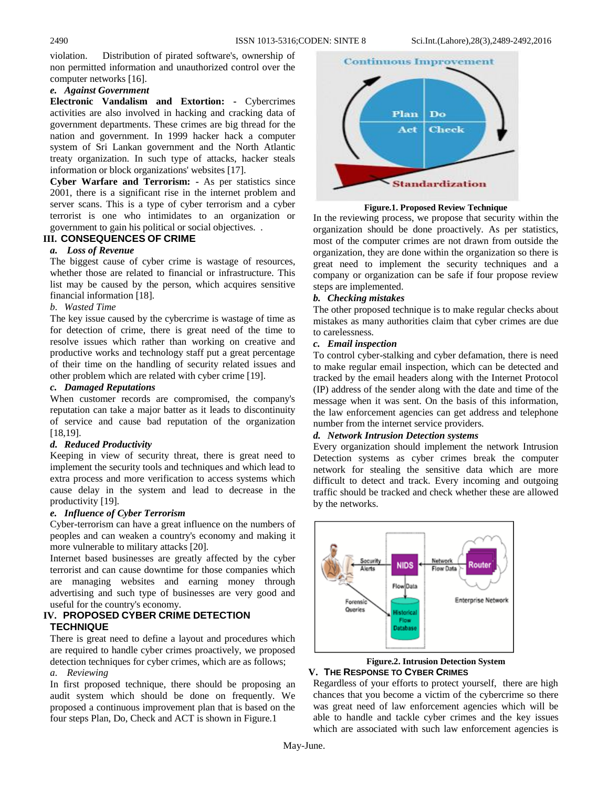violation. Distribution of pirated software's, ownership of non permitted information and unauthorized control over the computer networks [16].

# *e. Against Government*

**Electronic Vandalism and Extortion: -** Cybercrimes activities are also involved in hacking and cracking data of government departments. These crimes are big thread for the nation and government. In 1999 hacker hack a computer system of Sri Lankan government and the North Atlantic treaty organization. In such type of attacks, hacker steals information or block organizations' websites [17].

**Cyber Warfare and Terrorism: -** As per statistics since 2001, there is a significant rise in the internet problem and server scans. This is a type of cyber terrorism and a cyber terrorist is one who intimidates to an organization or government to gain his political or social objectives. .

# **III. CONSEQUENCES OF CRIME**

#### *a. Loss of Revenue*

The biggest cause of cyber crime is wastage of resources, whether those are related to financial or infrastructure. This list may be caused by the person, which acquires sensitive financial information [18].

# *b. Wasted Time*

The key issue caused by the cybercrime is wastage of time as for detection of crime, there is great need of the time to resolve issues which rather than working on creative and productive works and technology staff put a great percentage of their time on the handling of security related issues and other problem which are related with cyber crime [19].

#### *c. Damaged Reputations*

When customer records are compromised, the company's reputation can take a major batter as it leads to discontinuity of service and cause bad reputation of the organization [18,19].

# *d. Reduced Productivity*

Keeping in view of security threat, there is great need to implement the security tools and techniques and which lead to extra process and more verification to access systems which cause delay in the system and lead to decrease in the productivity [19].

# *e. Influence of Cyber Terrorism*

Cyber-terrorism can have a great influence on the numbers of peoples and can weaken a country's economy and making it more vulnerable to military attacks [20].

Internet based businesses are greatly affected by the cyber terrorist and can cause downtime for those companies which are managing websites and earning money through advertising and such type of businesses are very good and useful for the country's economy.

# **IV. PROPOSED CYBER CRIME DETECTION TECHNIQUE**

There is great need to define a layout and procedures which are required to handle cyber crimes proactively, we proposed detection techniques for cyber crimes, which are as follows;

#### *a. Reviewing*

In first proposed technique, there should be proposing an audit system which should be done on frequently. We proposed a continuous improvement plan that is based on the four steps Plan, Do, Check and ACT is shown in Figure.1



**Figure.1. Proposed Review Technique**

In the reviewing process, we propose that security within the organization should be done proactively. As per statistics, most of the computer crimes are not drawn from outside the organization, they are done within the organization so there is great need to implement the security techniques and a company or organization can be safe if four propose review steps are implemented.

#### *b. Checking mistakes*

The other proposed technique is to make regular checks about mistakes as many authorities claim that cyber crimes are due to carelessness.

# *c. Email inspection*

To control cyber-stalking and cyber defamation, there is need to make regular email inspection, which can be detected and tracked by the email headers along with the Internet Protocol (IP) address of the sender along with the date and time of the message when it was sent. On the basis of this information, the law enforcement agencies can get address and telephone number from the internet service providers.

# *d. Network Intrusion Detection systems*

Every organization should implement the network Intrusion Detection systems as cyber crimes break the computer network for stealing the sensitive data which are more difficult to detect and track. Every incoming and outgoing traffic should be tracked and check whether these are allowed by the networks.





Regardless of your efforts to protect yourself, there are high chances that you become a victim of the cybercrime so there was great need of law enforcement agencies which will be able to handle and tackle cyber crimes and the key issues which are associated with such law enforcement agencies is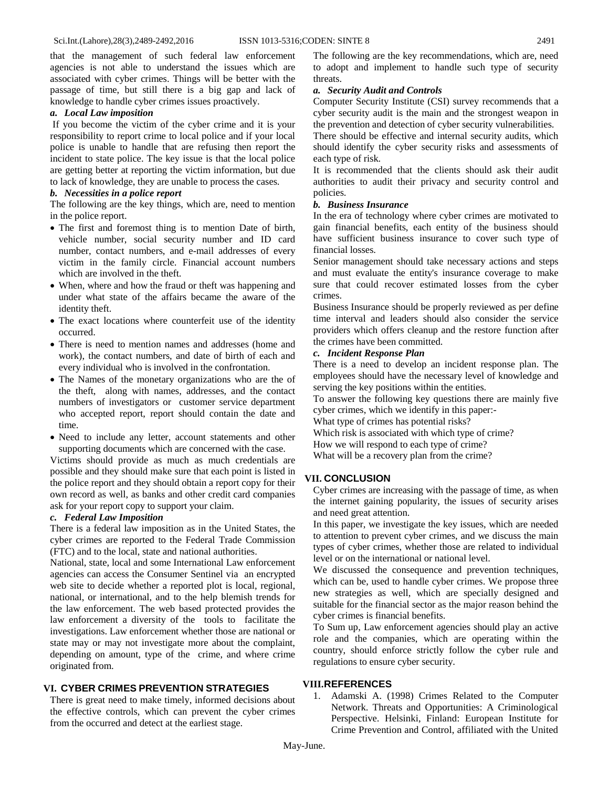that the management of such federal law enforcement agencies is not able to understand the issues which are associated with cyber crimes. Things will be better with the passage of time, but still there is a big gap and lack of knowledge to handle cyber crimes issues proactively.

#### *a. Local Law imposition*

If you become the victim of the cyber crime and it is your responsibility to report crime to local police and if your local police is unable to handle that are refusing then report the incident to state police. The key issue is that the local police are getting better at reporting the victim information, but due to lack of knowledge, they are unable to process the cases.

#### *b. Necessities in a police report*

The following are the key things, which are, need to mention in the police report.

- The first and foremost thing is to mention Date of birth, vehicle number, social security number and ID card number, contact numbers, and e-mail addresses of every victim in the family circle. Financial account numbers which are involved in the theft.
- When, where and how the fraud or theft was happening and under what state of the affairs became the aware of the identity theft.
- The exact locations where counterfeit use of the identity occurred.
- There is need to mention names and addresses (home and work), the contact numbers, and date of birth of each and every individual who is involved in the confrontation.
- The Names of the monetary organizations who are the of the theft, along with names, addresses, and the contact numbers of investigators or customer service department who accepted report, report should contain the date and time.
- Need to include any letter, account statements and other supporting documents which are concerned with the case.

Victims should provide as much as much credentials are possible and they should make sure that each point is listed in the police report and they should obtain a report copy for their own record as well, as banks and other credit card companies ask for your report copy to support your claim.

#### *c. Federal Law Imposition*

There is a federal law imposition as in the United States, the cyber crimes are reported to the Federal Trade Commission (FTC) and to the local, state and national authorities.

National, state, local and some International Law enforcement agencies can access the Consumer Sentinel via an encrypted web site to decide whether a reported plot is local, regional, national, or international, and to the help blemish trends for the law enforcement. The web based protected provides the law enforcement a diversity of the tools to facilitate the investigations. Law enforcement whether those are national or state may or may not investigate more about the complaint, depending on amount, type of the crime, and where crime originated from.

# **VI. CYBER CRIMES PREVENTION STRATEGIES**

There is great need to make timely, informed decisions about the effective controls, which can prevent the cyber crimes from the occurred and detect at the earliest stage.

The following are the key recommendations, which are, need to adopt and implement to handle such type of security threats.

#### *a. Security Audit and Controls*

Computer Security Institute (CSI) survey recommends that a cyber security audit is the main and the strongest weapon in the prevention and detection of cyber security vulnerabilities.

There should be effective and internal security audits, which should identify the cyber security risks and assessments of each type of risk.

It is recommended that the clients should ask their audit authorities to audit their privacy and security control and policies.

#### *b. Business Insurance*

In the era of technology where cyber crimes are motivated to gain financial benefits, each entity of the business should have sufficient business insurance to cover such type of financial losses.

Senior management should take necessary actions and steps and must evaluate the entity's insurance coverage to make sure that could recover estimated losses from the cyber crimes.

Business Insurance should be properly reviewed as per define time interval and leaders should also consider the service providers which offers cleanup and the restore function after the crimes have been committed.

#### *c. Incident Response Plan*

There is a need to develop an incident response plan. The employees should have the necessary level of knowledge and serving the key positions within the entities.

To answer the following key questions there are mainly five cyber crimes, which we identify in this paper:-

What type of crimes has potential risks?

Which risk is associated with which type of crime?

How we will respond to each type of crime?

What will be a recovery plan from the crime?

#### **VII. CONCLUSION**

Cyber crimes are increasing with the passage of time, as when the internet gaining popularity, the issues of security arises and need great attention.

In this paper, we investigate the key issues, which are needed to attention to prevent cyber crimes, and we discuss the main types of cyber crimes, whether those are related to individual level or on the international or national level.

We discussed the consequence and prevention techniques, which can be, used to handle cyber crimes. We propose three new strategies as well, which are specially designed and suitable for the financial sector as the major reason behind the cyber crimes is financial benefits.

To Sum up, Law enforcement agencies should play an active role and the companies, which are operating within the country, should enforce strictly follow the cyber rule and regulations to ensure cyber security.

#### **VIII.REFERENCES**

1. Adamski A. (1998) Crimes Related to the Computer Network. Threats and Opportunities: A Criminological Perspective. Helsinki, Finland: European Institute for Crime Prevention and Control, affiliated with the United